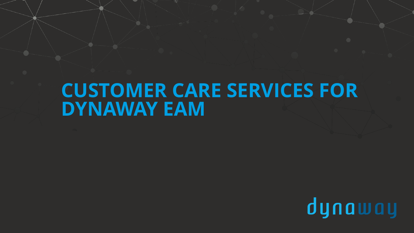# **CUSTOMER CARE SERVICES FOR DYNAWAY EAM**

www.dynamatical.com

dynaway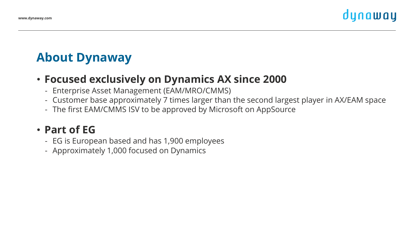# **About Dynaway**

#### • **Focused exclusively on Dynamics AX since 2000**

- Enterprise Asset Management (EAM/MRO/CMMS)
- Customer base approximately 7 times larger than the second largest player in AX/EAM space
- The first EAM/CMMS ISV to be approved by Microsoft on AppSource

#### • **Part of EG**

- EG is European based and has 1,900 employees
- Approximately 1,000 focused on Dynamics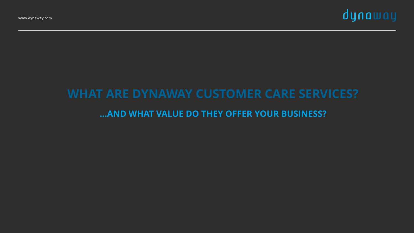

# **WHAT ARE DYNAWAY CUSTOMER CARE SERVICES? …AND WHAT VALUE DO THEY OFFER YOUR BUSINESS?**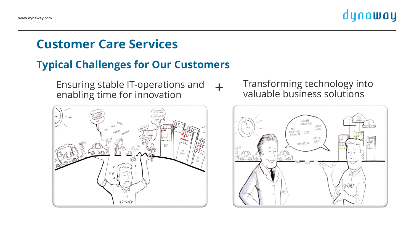### **Customer Care Services**

#### **Typical Challenges for Our Customers**

 $+$ Ensuring stable IT-operations and enabling time for innovation



#### Transforming technology into valuable business solutions

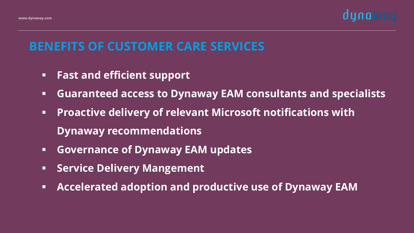

## **BENEFITS OF CUSTOMER CARE SERVICES**

- **Fast and efficient support**
- **Guaranteed access to Dynaway EAM consultants and specialists**
- **Proactive delivery of relevant Microsoft notifications with Dynaway recommendations**
- **Governance of Dynaway EAM updates**
- **Service Delivery Mangement**
- **Accelerated adoption and productive use of Dynaway EAM**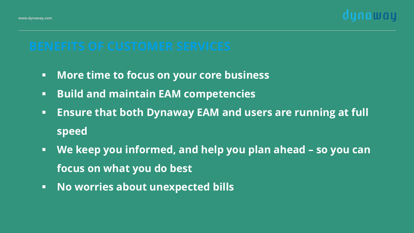

- **More time to focus on your core business**
- **Build and maintain EAM competencies**
- **Ensure that both Dynaway EAM and users are running at full speed**
- **We keep you informed, and help you plan ahead – so you can focus on what you do best**
- **No worries about unexpected bills**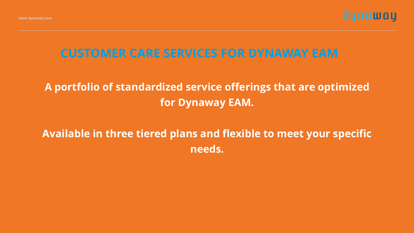

### **CUSTOMER CARE SERVICES FOR DYNAWAY EAM**

#### **A portfolio of standardized service offerings that are optimized for Dynaway EAM.**

### **Available in three tiered plans and flexible to meet your specific needs.**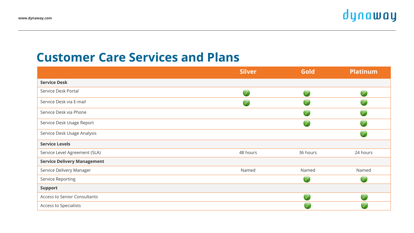#### **Customer Care Services and Plans**

|                                     | <b>Silver</b>        | <b>Gold</b>          | <b>Platinum</b> |
|-------------------------------------|----------------------|----------------------|-----------------|
| <b>Service Desk</b>                 |                      |                      |                 |
| Service Desk Portal                 | $\sqrt{}$            | $\sqrt{}$            | $\checkmark$    |
| Service Desk via E-mail             | $\blacktriangledown$ | $\blacktriangledown$ | $\checkmark$    |
| Service Desk via Phone              |                      | $\sqrt{}$            | $\checkmark$    |
| Service Desk Usage Report           |                      | $\sqrt{}$            | $\checkmark$    |
| Service Desk Usage Analysis         |                      |                      | $\checkmark$    |
| <b>Service Levels</b>               |                      |                      |                 |
| Service Level Agreement (SLA)       | 48 hours             | 36 hours             | 24 hours        |
| <b>Service Delivery Management</b>  |                      |                      |                 |
| Service Delivery Manager            | Named                | Named                | Named           |
| <b>Service Reporting</b>            |                      | $\checkmark$         | $\checkmark$    |
| <b>Support</b>                      |                      |                      |                 |
| <b>Access to Senior Consultants</b> |                      |                      |                 |
| Access to Specialists               |                      |                      |                 |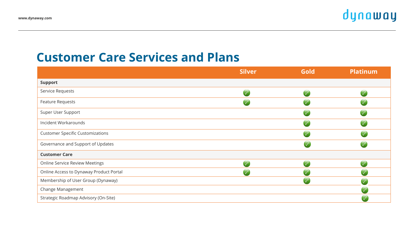#### **Customer Care Services and Plans**

|                                         | <b>Silver</b> | Gold                 | <b>Platinum</b> |
|-----------------------------------------|---------------|----------------------|-----------------|
| <b>Support</b>                          |               |                      |                 |
| Service Requests                        | $\sqrt{}$     | $\blacktriangledown$ |                 |
| Feature Requests                        | $\checkmark$  |                      |                 |
| Super User Support                      |               | $\sqrt{}$            |                 |
| Incident Workarounds                    |               | $\checkmark$         |                 |
| <b>Customer Specific Customizations</b> |               | $\mathcal{A}$        |                 |
| Governance and Support of Updates       |               |                      |                 |
| <b>Customer Care</b>                    |               |                      |                 |
| <b>Online Service Review Meetings</b>   | $\sqrt{}$     | $\checkmark$         |                 |
| Online Access to Dynaway Product Portal | $\sqrt{}$     | $\checkmark$         |                 |
| Membership of User Group (Dynaway)      |               | $\checkmark$         |                 |
| Change Management                       |               |                      |                 |
| Strategic Roadmap Advisory (On-Site)    |               |                      |                 |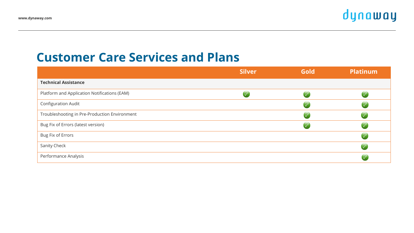#### **Customer Care Services and Plans**

|                                               | <b>Silver</b> | <b>Gold</b>             | <b>Platinum</b> |
|-----------------------------------------------|---------------|-------------------------|-----------------|
| <b>Technical Assistance</b>                   |               |                         |                 |
| Platform and Application Notifications (EAM)  |               | $\overline{\vee}$       |                 |
| Configuration Audit                           |               | $\mathbf \cdot$         |                 |
| Troubleshooting in Pre-Production Environment |               | $\overline{\vee}$       |                 |
| Bug Fix of Errors (latest version)            |               | $\overline{\mathsf{v}}$ |                 |
| Bug Fix of Errors                             |               |                         |                 |
| Sanity Check                                  |               |                         |                 |
| Performance Analysis                          |               |                         |                 |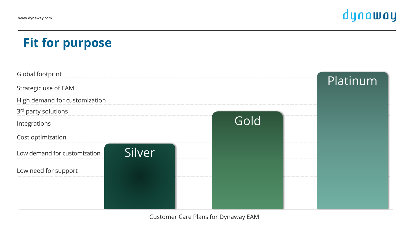# **Fit for purpose**



Customer Care Plans for Dynaway EAM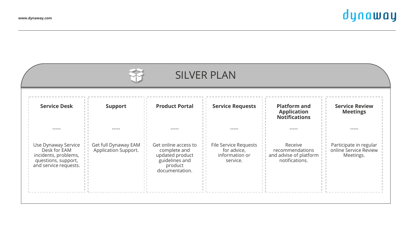|                                                                                                             |                                              |                                                                                                        | <b>SILVER PLAN</b>                                                 |                                                                        |                                                              |
|-------------------------------------------------------------------------------------------------------------|----------------------------------------------|--------------------------------------------------------------------------------------------------------|--------------------------------------------------------------------|------------------------------------------------------------------------|--------------------------------------------------------------|
| <b>Service Desk</b>                                                                                         | <b>Support</b>                               | <b>Product Portal</b>                                                                                  | <b>Service Requests</b>                                            | <b>Platform and</b><br><b>Application</b><br><b>Notifications</b>      | <b>Service Review</b><br><b>Meetings</b>                     |
| $\frac{1}{2}$                                                                                               | -----                                        | -----                                                                                                  | -----                                                              | -----                                                                  | -----                                                        |
| Use Dynaway Service<br>Desk for EAM<br>incidents, problems,<br>questions, support,<br>and service requests. | Get full Dynaway EAM<br>Application Support. | Get online access to<br>complete and<br>updated product<br>guidelines and<br>product<br>documentation. | File Service Requests<br>for advice,<br>information or<br>service. | Receive<br>recommendations<br>and advise of platform<br>notifications. | Participate in regular<br>online Service Review<br>Meetings. |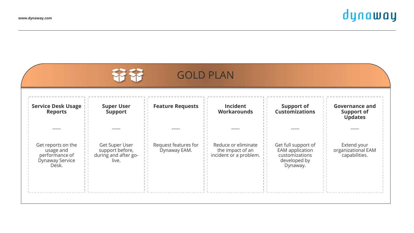|                                                                               |                                                                    | <b>GOLD PLAN</b>                     |                                                                   |                                                                                      |                                                              |
|-------------------------------------------------------------------------------|--------------------------------------------------------------------|--------------------------------------|-------------------------------------------------------------------|--------------------------------------------------------------------------------------|--------------------------------------------------------------|
| <b>Service Desk Usage</b><br><b>Reports</b>                                   | <b>Super User</b><br><b>Support</b>                                | <b>Feature Requests</b>              | <b>Incident</b><br><b>Workarounds</b>                             | <b>Support of</b><br><b>Customizations</b>                                           | <b>Governance and</b><br><b>Support of</b><br><b>Updates</b> |
| -----                                                                         | -----                                                              | -----                                | -----                                                             | -----                                                                                | -----                                                        |
| Get reports on the<br>usage and<br>performance of<br>Dynaway Service<br>Desk. | Get Super User<br>support before,<br>during and after go-<br>live. | Request features for<br>Dynaway EAM. | Reduce or eliminate<br>the impact of an<br>incident or a problem. | Get full support of<br>EAM application<br>customizations<br>developed by<br>Dynaway. | Extend your<br>organizational EAM<br>capabilities.           |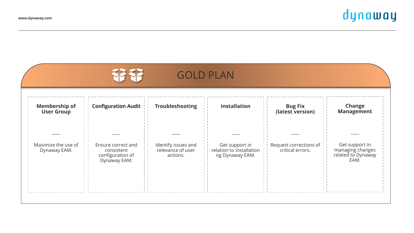|                                              |                                                                               |                                                      | <b>GOLD PLAN</b>                                                       |                                                     |                                                                           |
|----------------------------------------------|-------------------------------------------------------------------------------|------------------------------------------------------|------------------------------------------------------------------------|-----------------------------------------------------|---------------------------------------------------------------------------|
| <b>Membership of</b><br><b>User Group</b>    | <b>Configuration Audit</b>                                                    | <b>Troubleshooting</b>                               | <b>Installation</b>                                                    | <b>Bug Fix</b><br>(latest version)                  | Change<br><b>Management</b>                                               |
| -----<br>Maximize the use of<br>Dynaway EAM. | -----<br>Ensure correct and<br>consistent<br>configuration of<br>Dynaway EAM. | Identify issues and<br>relevance of user<br>actions. | -----<br>Get support in<br>relation to installation<br>og Dynaway EAM. | -----<br>Request corrections of<br>critical errors. | -----<br>Get support in<br>managing changes<br>related to Dynaway<br>EAM. |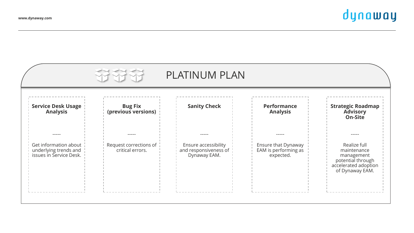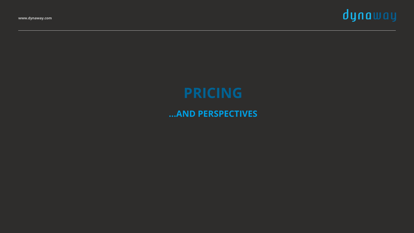

# **PRICING**

#### **…AND PERSPECTIVES**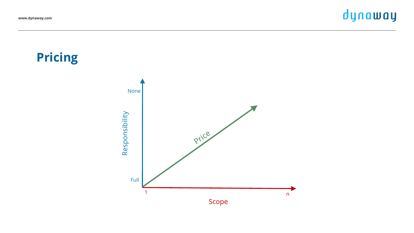**Pricing**

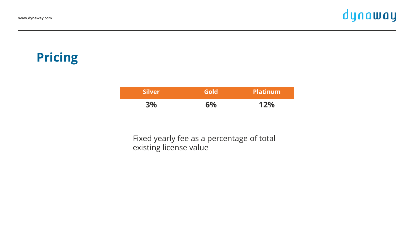# **Pricing**

| <b>Silver</b> | Gold | <b>Platinum</b> |
|---------------|------|-----------------|
| 3%            | 6%   | 12%             |

Fixed yearly fee as a percentage of total existing license value